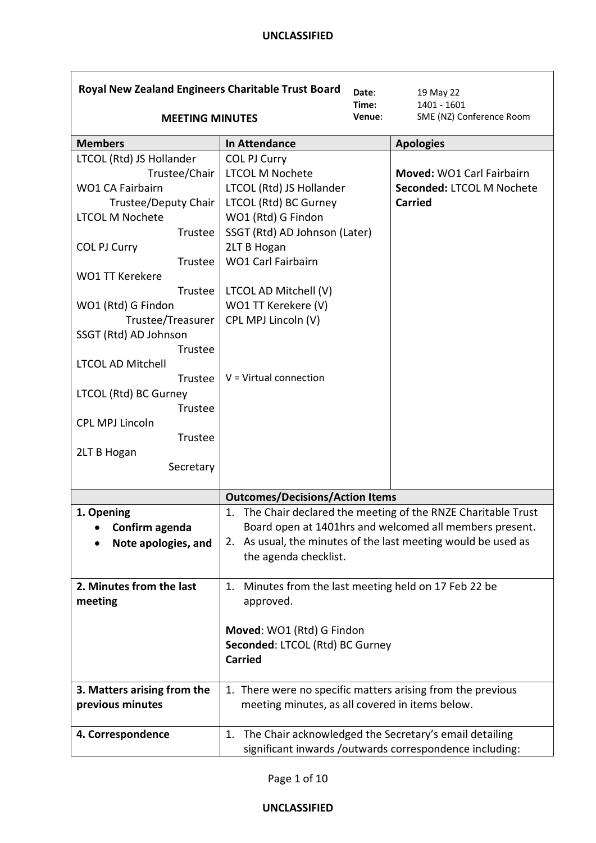| Royal New Zealand Engineers Charitable Trust Board<br>Date:<br>Time: |                                                             |        | 19 May 22<br>1401 - 1601                                    |
|----------------------------------------------------------------------|-------------------------------------------------------------|--------|-------------------------------------------------------------|
| <b>MEETING MINUTES</b>                                               |                                                             | Venue: | SME (NZ) Conference Room                                    |
| <b>Members</b>                                                       | <b>In Attendance</b>                                        |        | <b>Apologies</b>                                            |
| LTCOL (Rtd) JS Hollander                                             | <b>COL PJ Curry</b>                                         |        |                                                             |
| Trustee/Chair                                                        | <b>LTCOL M Nochete</b>                                      |        | Moved: WO1 Carl Fairbairn                                   |
| <b>WO1 CA Fairbairn</b>                                              | LTCOL (Rtd) JS Hollander                                    |        | Seconded: LTCOL M Nochete                                   |
| Trustee/Deputy Chair<br><b>LTCOL M Nochete</b>                       | LTCOL (Rtd) BC Gurney                                       |        | <b>Carried</b>                                              |
| Trustee                                                              | WO1 (Rtd) G Findon<br>SSGT (Rtd) AD Johnson (Later)         |        |                                                             |
| <b>COL PJ Curry</b>                                                  | 2LT B Hogan                                                 |        |                                                             |
| Trustee                                                              | <b>WO1 Carl Fairbairn</b>                                   |        |                                                             |
| <b>WO1 TT Kerekere</b>                                               |                                                             |        |                                                             |
| Trustee                                                              | LTCOL AD Mitchell (V)                                       |        |                                                             |
| WO1 (Rtd) G Findon                                                   | WO1 TT Kerekere (V)                                         |        |                                                             |
| Trustee/Treasurer                                                    | CPL MPJ Lincoln (V)                                         |        |                                                             |
| SSGT (Rtd) AD Johnson                                                |                                                             |        |                                                             |
| Trustee                                                              |                                                             |        |                                                             |
| <b>LTCOL AD Mitchell</b>                                             |                                                             |        |                                                             |
| Trustee                                                              | $V = Virtual connection$                                    |        |                                                             |
| LTCOL (Rtd) BC Gurney                                                |                                                             |        |                                                             |
| Trustee                                                              |                                                             |        |                                                             |
| <b>CPL MPJ Lincoln</b>                                               |                                                             |        |                                                             |
| Trustee<br>2LT B Hogan                                               |                                                             |        |                                                             |
| Secretary                                                            |                                                             |        |                                                             |
|                                                                      |                                                             |        |                                                             |
|                                                                      | <b>Outcomes/Decisions/Action Items</b>                      |        |                                                             |
| 1. Opening                                                           | 1.                                                          |        | The Chair declared the meeting of the RNZE Charitable Trust |
| Confirm agenda                                                       |                                                             |        | Board open at 1401hrs and welcomed all members present.     |
| Note apologies, and                                                  | 2.                                                          |        | As usual, the minutes of the last meeting would be used as  |
|                                                                      | the agenda checklist.                                       |        |                                                             |
| 2. Minutes from the last                                             | Minutes from the last meeting held on 17 Feb 22 be<br>1.    |        |                                                             |
| meeting                                                              | approved.                                                   |        |                                                             |
|                                                                      |                                                             |        |                                                             |
|                                                                      | Moved: WO1 (Rtd) G Findon                                   |        |                                                             |
|                                                                      | Seconded: LTCOL (Rtd) BC Gurney                             |        |                                                             |
|                                                                      | <b>Carried</b>                                              |        |                                                             |
| 3. Matters arising from the                                          | 1. There were no specific matters arising from the previous |        |                                                             |
| previous minutes                                                     | meeting minutes, as all covered in items below.             |        |                                                             |
|                                                                      |                                                             |        |                                                             |
| 4. Correspondence                                                    | 1.                                                          |        | The Chair acknowledged the Secretary's email detailing      |
|                                                                      |                                                             |        | significant inwards /outwards correspondence including:     |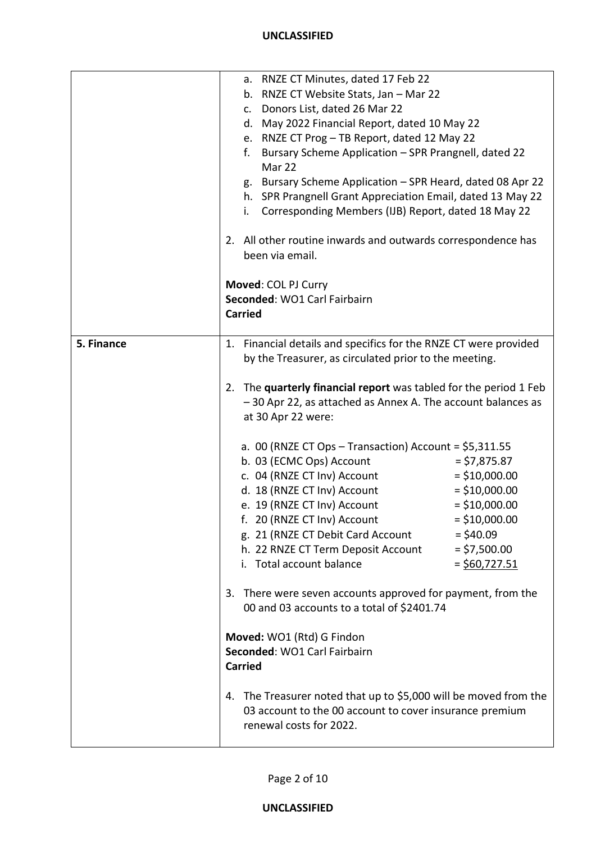|            | a. RNZE CT Minutes, dated 17 Feb 22<br>b. RNZE CT Website Stats, Jan - Mar 22<br>c. Donors List, dated 26 Mar 22<br>d. May 2022 Financial Report, dated 10 May 22<br>e. RNZE CT Prog - TB Report, dated 12 May 22<br>Bursary Scheme Application - SPR Prangnell, dated 22<br>f.<br>Mar 22<br>g. Bursary Scheme Application - SPR Heard, dated 08 Apr 22<br>h. SPR Prangnell Grant Appreciation Email, dated 13 May 22<br>Corresponding Members (IJB) Report, dated 18 May 22<br>i.<br>2. All other routine inwards and outwards correspondence has<br>been via email.<br>Moved: COL PJ Curry<br>Seconded: WO1 Carl Fairbairn |
|------------|------------------------------------------------------------------------------------------------------------------------------------------------------------------------------------------------------------------------------------------------------------------------------------------------------------------------------------------------------------------------------------------------------------------------------------------------------------------------------------------------------------------------------------------------------------------------------------------------------------------------------|
|            | <b>Carried</b>                                                                                                                                                                                                                                                                                                                                                                                                                                                                                                                                                                                                               |
| 5. Finance | 1. Financial details and specifics for the RNZE CT were provided<br>by the Treasurer, as circulated prior to the meeting.                                                                                                                                                                                                                                                                                                                                                                                                                                                                                                    |
|            | 2. The quarterly financial report was tabled for the period 1 Feb<br>-30 Apr 22, as attached as Annex A. The account balances as<br>at 30 Apr 22 were:                                                                                                                                                                                                                                                                                                                                                                                                                                                                       |
|            | a. 00 (RNZE CT Ops - Transaction) Account = $$5,311.55$<br>b. 03 (ECMC Ops) Account<br>$= $7,875.87$<br>c. 04 (RNZE CT Inv) Account<br>$=$ \$10,000.00<br>d. 18 (RNZE CT Inv) Account<br>$=$ \$10,000.00<br>$=$ \$10,000.00<br>e. 19 (RNZE CT Inv) Account<br>f. 20 (RNZE CT Inv) Account<br>$=$ \$10,000.00<br>$=$ \$40.09<br>g. 21 (RNZE CT Debit Card Account<br>$=$ \$7,500.00<br>h. 22 RNZE CT Term Deposit Account<br>i. Total account balance<br>$=$ \$60,727.51                                                                                                                                                      |
|            | 3. There were seven accounts approved for payment, from the<br>00 and 03 accounts to a total of \$2401.74                                                                                                                                                                                                                                                                                                                                                                                                                                                                                                                    |
|            | Moved: WO1 (Rtd) G Findon<br>Seconded: WO1 Carl Fairbairn<br><b>Carried</b>                                                                                                                                                                                                                                                                                                                                                                                                                                                                                                                                                  |
|            | 4. The Treasurer noted that up to \$5,000 will be moved from the<br>03 account to the 00 account to cover insurance premium<br>renewal costs for 2022.                                                                                                                                                                                                                                                                                                                                                                                                                                                                       |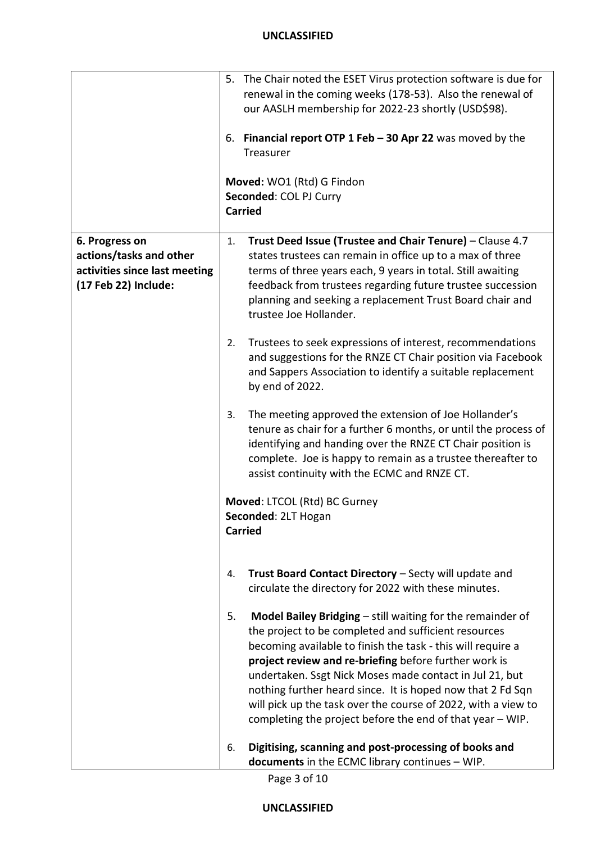|                                                                                                    | 5. The Chair noted the ESET Virus protection software is due for<br>renewal in the coming weeks (178-53). Also the renewal of<br>our AASLH membership for 2022-23 shortly (USD\$98).<br>Financial report OTP 1 Feb $-$ 30 Apr 22 was moved by the<br>6.<br>Treasurer<br>Moved: WO1 (Rtd) G Findon<br>Seconded: COL PJ Curry<br><b>Carried</b>                                                                                                                                                           |
|----------------------------------------------------------------------------------------------------|---------------------------------------------------------------------------------------------------------------------------------------------------------------------------------------------------------------------------------------------------------------------------------------------------------------------------------------------------------------------------------------------------------------------------------------------------------------------------------------------------------|
| 6. Progress on<br>actions/tasks and other<br>activities since last meeting<br>(17 Feb 22) Include: | Trust Deed Issue (Trustee and Chair Tenure) - Clause 4.7<br>1.<br>states trustees can remain in office up to a max of three<br>terms of three years each, 9 years in total. Still awaiting<br>feedback from trustees regarding future trustee succession<br>planning and seeking a replacement Trust Board chair and<br>trustee Joe Hollander.                                                                                                                                                          |
|                                                                                                    | Trustees to seek expressions of interest, recommendations<br>2.<br>and suggestions for the RNZE CT Chair position via Facebook<br>and Sappers Association to identify a suitable replacement<br>by end of 2022.                                                                                                                                                                                                                                                                                         |
|                                                                                                    | The meeting approved the extension of Joe Hollander's<br>3.<br>tenure as chair for a further 6 months, or until the process of<br>identifying and handing over the RNZE CT Chair position is<br>complete. Joe is happy to remain as a trustee thereafter to<br>assist continuity with the ECMC and RNZE CT.                                                                                                                                                                                             |
|                                                                                                    | Moved: LTCOL (Rtd) BC Gurney<br>Seconded: 2LT Hogan<br><b>Carried</b>                                                                                                                                                                                                                                                                                                                                                                                                                                   |
|                                                                                                    | Trust Board Contact Directory - Secty will update and<br>4.<br>circulate the directory for 2022 with these minutes.                                                                                                                                                                                                                                                                                                                                                                                     |
|                                                                                                    | Model Bailey Bridging - still waiting for the remainder of<br>5.<br>the project to be completed and sufficient resources<br>becoming available to finish the task - this will require a<br>project review and re-briefing before further work is<br>undertaken. Ssgt Nick Moses made contact in Jul 21, but<br>nothing further heard since. It is hoped now that 2 Fd Sqn<br>will pick up the task over the course of 2022, with a view to<br>completing the project before the end of that year - WIP. |
|                                                                                                    | Digitising, scanning and post-processing of books and<br>6.<br>documents in the ECMC library continues - WIP.                                                                                                                                                                                                                                                                                                                                                                                           |

Page 3 of 10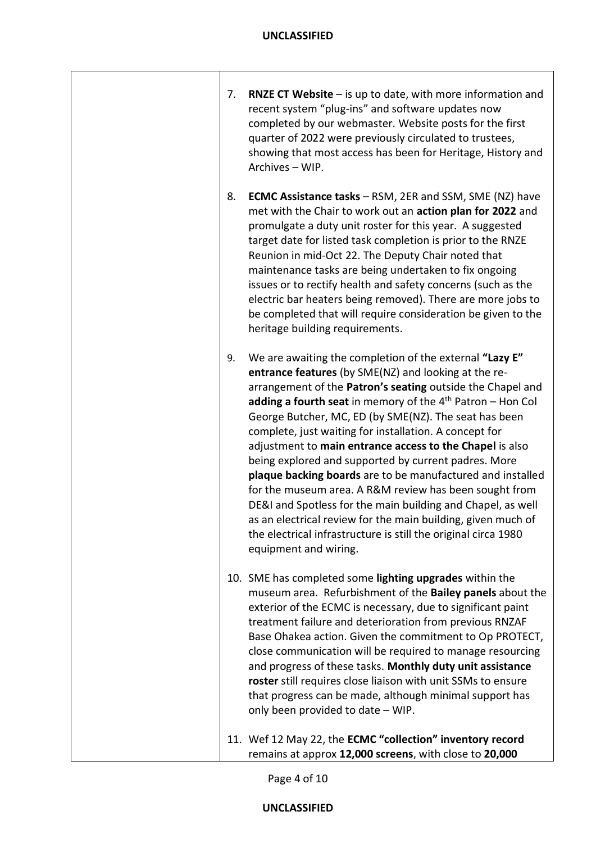| 7. | <b>RNZE CT Website</b> $-$ is up to date, with more information and<br>recent system "plug-ins" and software updates now<br>completed by our webmaster. Website posts for the first<br>quarter of 2022 were previously circulated to trustees,<br>showing that most access has been for Heritage, History and<br>Archives - WIP.                                                                                                                                                                                                                                                                                                                                                                                                                                                                                                                 |
|----|--------------------------------------------------------------------------------------------------------------------------------------------------------------------------------------------------------------------------------------------------------------------------------------------------------------------------------------------------------------------------------------------------------------------------------------------------------------------------------------------------------------------------------------------------------------------------------------------------------------------------------------------------------------------------------------------------------------------------------------------------------------------------------------------------------------------------------------------------|
| 8. | <b>ECMC Assistance tasks - RSM, 2ER and SSM, SME (NZ) have</b><br>met with the Chair to work out an action plan for 2022 and<br>promulgate a duty unit roster for this year. A suggested<br>target date for listed task completion is prior to the RNZE<br>Reunion in mid-Oct 22. The Deputy Chair noted that<br>maintenance tasks are being undertaken to fix ongoing<br>issues or to rectify health and safety concerns (such as the<br>electric bar heaters being removed). There are more jobs to<br>be completed that will require consideration be given to the<br>heritage building requirements.                                                                                                                                                                                                                                         |
| 9. | We are awaiting the completion of the external "Lazy E"<br>entrance features (by SME(NZ) and looking at the re-<br>arrangement of the Patron's seating outside the Chapel and<br>adding a fourth seat in memory of the 4 <sup>th</sup> Patron - Hon Col<br>George Butcher, MC, ED (by SME(NZ). The seat has been<br>complete, just waiting for installation. A concept for<br>adjustment to main entrance access to the Chapel is also<br>being explored and supported by current padres. More<br>plaque backing boards are to be manufactured and installed<br>for the museum area. A R&M review has been sought from<br>DE&I and Spotless for the main building and Chapel, as well<br>as an electrical review for the main building, given much of<br>the electrical infrastructure is still the original circa 1980<br>equipment and wiring. |
|    | 10. SME has completed some lighting upgrades within the<br>museum area. Refurbishment of the Bailey panels about the<br>exterior of the ECMC is necessary, due to significant paint<br>treatment failure and deterioration from previous RNZAF<br>Base Ohakea action. Given the commitment to Op PROTECT,<br>close communication will be required to manage resourcing<br>and progress of these tasks. Monthly duty unit assistance<br>roster still requires close liaison with unit SSMs to ensure<br>that progress can be made, although minimal support has<br>only been provided to date - WIP.                                                                                                                                                                                                                                              |
|    | 11. Wef 12 May 22, the ECMC "collection" inventory record<br>remains at approx 12,000 screens, with close to 20,000                                                                                                                                                                                                                                                                                                                                                                                                                                                                                                                                                                                                                                                                                                                              |

Page 4 of 10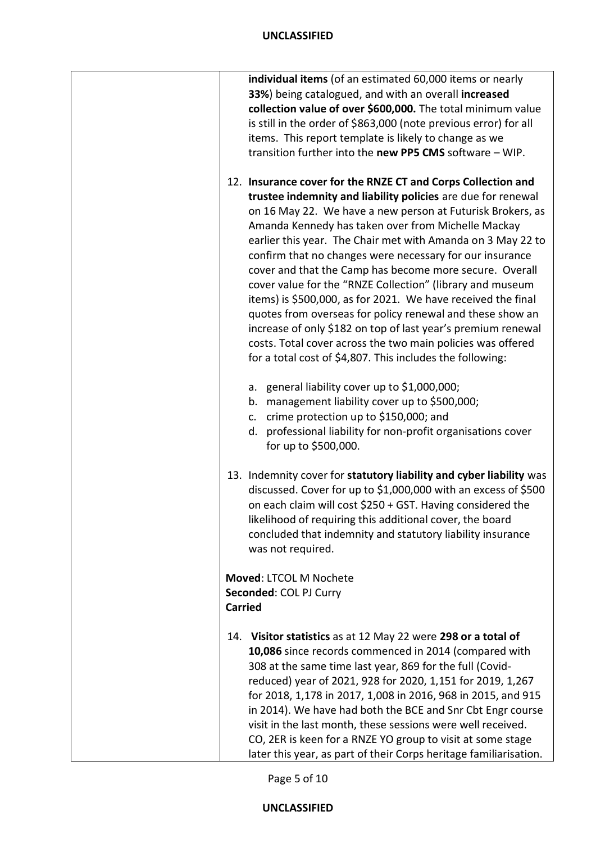| individual items (of an estimated 60,000 items or nearly<br>33%) being catalogued, and with an overall increased<br>collection value of over \$600,000. The total minimum value                                                                                                                                                                                                                                                                                                                                                                                                                                                                                                                                                                                                                                              |
|------------------------------------------------------------------------------------------------------------------------------------------------------------------------------------------------------------------------------------------------------------------------------------------------------------------------------------------------------------------------------------------------------------------------------------------------------------------------------------------------------------------------------------------------------------------------------------------------------------------------------------------------------------------------------------------------------------------------------------------------------------------------------------------------------------------------------|
| is still in the order of \$863,000 (note previous error) for all<br>items. This report template is likely to change as we<br>transition further into the new PP5 CMS software - WIP.                                                                                                                                                                                                                                                                                                                                                                                                                                                                                                                                                                                                                                         |
| 12. Insurance cover for the RNZE CT and Corps Collection and<br>trustee indemnity and liability policies are due for renewal<br>on 16 May 22. We have a new person at Futurisk Brokers, as<br>Amanda Kennedy has taken over from Michelle Mackay<br>earlier this year. The Chair met with Amanda on 3 May 22 to<br>confirm that no changes were necessary for our insurance<br>cover and that the Camp has become more secure. Overall<br>cover value for the "RNZE Collection" (library and museum<br>items) is \$500,000, as for 2021. We have received the final<br>quotes from overseas for policy renewal and these show an<br>increase of only \$182 on top of last year's premium renewal<br>costs. Total cover across the two main policies was offered<br>for a total cost of \$4,807. This includes the following: |
| a. general liability cover up to \$1,000,000;<br>management liability cover up to \$500,000;<br>b.<br>crime protection up to \$150,000; and<br>c.<br>professional liability for non-profit organisations cover<br>d.<br>for up to \$500,000.                                                                                                                                                                                                                                                                                                                                                                                                                                                                                                                                                                                 |
| 13. Indemnity cover for statutory liability and cyber liability was<br>discussed. Cover for up to \$1,000,000 with an excess of \$500<br>on each claim will cost \$250 + GST. Having considered the<br>likelihood of requiring this additional cover, the board<br>concluded that indemnity and statutory liability insurance<br>was not required.                                                                                                                                                                                                                                                                                                                                                                                                                                                                           |
| Moved: LTCOL M Nochete<br>Seconded: COL PJ Curry<br><b>Carried</b>                                                                                                                                                                                                                                                                                                                                                                                                                                                                                                                                                                                                                                                                                                                                                           |
| 14. Visitor statistics as at 12 May 22 were 298 or a total of<br>10,086 since records commenced in 2014 (compared with<br>308 at the same time last year, 869 for the full (Covid-<br>reduced) year of 2021, 928 for 2020, 1,151 for 2019, 1,267<br>for 2018, 1,178 in 2017, 1,008 in 2016, 968 in 2015, and 915<br>in 2014). We have had both the BCE and Snr Cbt Engr course<br>visit in the last month, these sessions were well received.<br>CO, 2ER is keen for a RNZE YO group to visit at some stage<br>later this year, as part of their Corps heritage familiarisation.                                                                                                                                                                                                                                             |

Page 5 of 10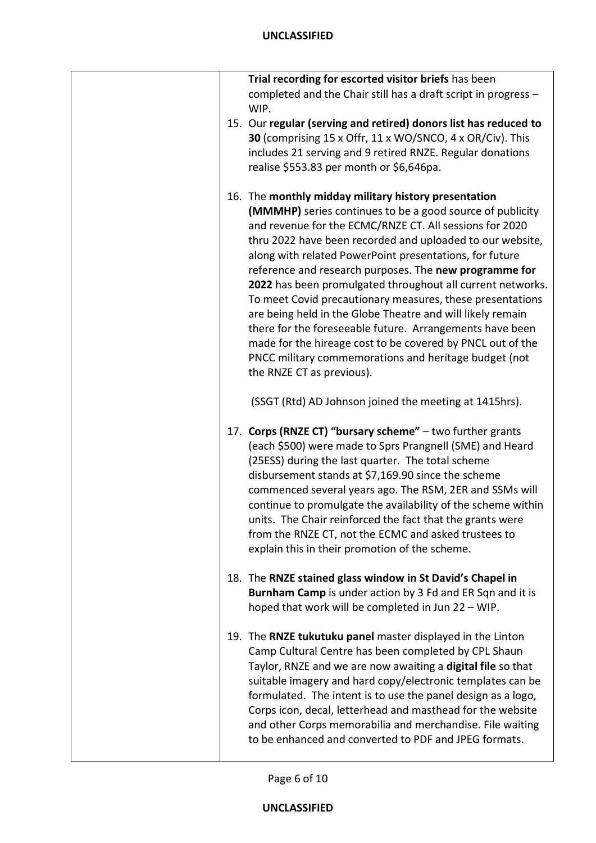|  | Trial recording for escorted visitor briefs has been<br>completed and the Chair still has a draft script in progress -<br>WIP.                                                                                                                                                                                                                                                                                                                                                                                                                                                                                                                                                                                                                                          |
|--|-------------------------------------------------------------------------------------------------------------------------------------------------------------------------------------------------------------------------------------------------------------------------------------------------------------------------------------------------------------------------------------------------------------------------------------------------------------------------------------------------------------------------------------------------------------------------------------------------------------------------------------------------------------------------------------------------------------------------------------------------------------------------|
|  | 15. Our regular (serving and retired) donors list has reduced to<br>30 (comprising 15 x Offr, 11 x WO/SNCO, 4 x OR/Civ). This<br>includes 21 serving and 9 retired RNZE. Regular donations<br>realise \$553.83 per month or \$6,646pa.                                                                                                                                                                                                                                                                                                                                                                                                                                                                                                                                  |
|  | 16. The monthly midday military history presentation<br>(MMMHP) series continues to be a good source of publicity<br>and revenue for the ECMC/RNZE CT. All sessions for 2020<br>thru 2022 have been recorded and uploaded to our website,<br>along with related PowerPoint presentations, for future<br>reference and research purposes. The new programme for<br>2022 has been promulgated throughout all current networks.<br>To meet Covid precautionary measures, these presentations<br>are being held in the Globe Theatre and will likely remain<br>there for the foreseeable future. Arrangements have been<br>made for the hireage cost to be covered by PNCL out of the<br>PNCC military commemorations and heritage budget (not<br>the RNZE CT as previous). |
|  | (SSGT (Rtd) AD Johnson joined the meeting at 1415hrs).                                                                                                                                                                                                                                                                                                                                                                                                                                                                                                                                                                                                                                                                                                                  |
|  | 17. Corps (RNZE CT) "bursary scheme" - two further grants<br>(each \$500) were made to Sprs Prangnell (SME) and Heard<br>(25ESS) during the last quarter. The total scheme<br>disbursement stands at \$7,169.90 since the scheme<br>commenced several years ago. The RSM, 2ER and SSMs will<br>continue to promulgate the availability of the scheme within<br>units. The Chair reinforced the fact that the grants were<br>from the RNZE CT, not the ECMC and asked trustees to<br>explain this in their promotion of the scheme.                                                                                                                                                                                                                                      |
|  | 18. The RNZE stained glass window in St David's Chapel in<br>Burnham Camp is under action by 3 Fd and ER Sqn and it is<br>hoped that work will be completed in Jun 22 - WIP.                                                                                                                                                                                                                                                                                                                                                                                                                                                                                                                                                                                            |
|  | 19. The RNZE tukutuku panel master displayed in the Linton<br>Camp Cultural Centre has been completed by CPL Shaun<br>Taylor, RNZE and we are now awaiting a digital file so that<br>suitable imagery and hard copy/electronic templates can be<br>formulated. The intent is to use the panel design as a logo,<br>Corps icon, decal, letterhead and masthead for the website<br>and other Corps memorabilia and merchandise. File waiting<br>to be enhanced and converted to PDF and JPEG formats.                                                                                                                                                                                                                                                                     |

Page 6 of 10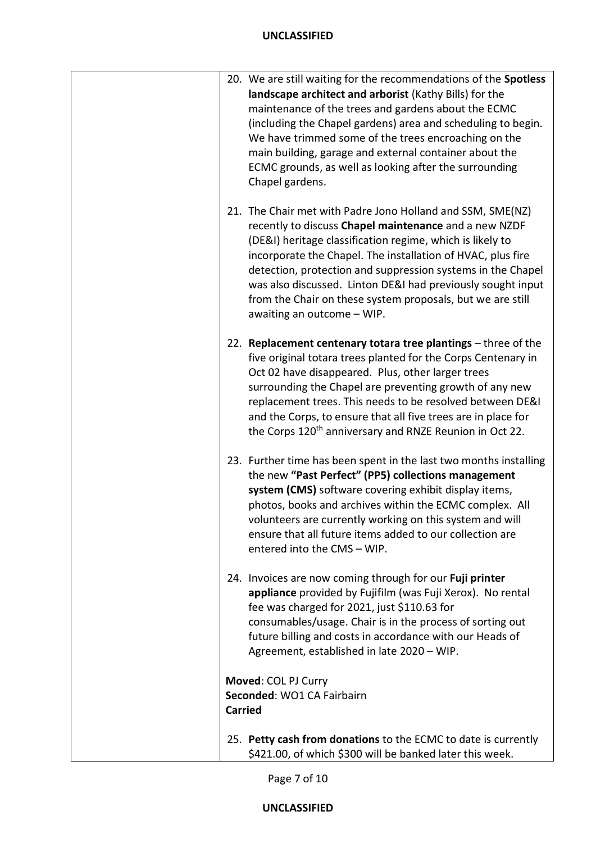| 20. We are still waiting for the recommendations of the Spotless<br>landscape architect and arborist (Kathy Bills) for the<br>maintenance of the trees and gardens about the ECMC<br>(including the Chapel gardens) area and scheduling to begin.<br>We have trimmed some of the trees encroaching on the<br>main building, garage and external container about the<br>ECMC grounds, as well as looking after the surrounding<br>Chapel gardens.                          |
|---------------------------------------------------------------------------------------------------------------------------------------------------------------------------------------------------------------------------------------------------------------------------------------------------------------------------------------------------------------------------------------------------------------------------------------------------------------------------|
| 21. The Chair met with Padre Jono Holland and SSM, SME(NZ)<br>recently to discuss Chapel maintenance and a new NZDF<br>(DE&I) heritage classification regime, which is likely to<br>incorporate the Chapel. The installation of HVAC, plus fire<br>detection, protection and suppression systems in the Chapel<br>was also discussed. Linton DE&I had previously sought input<br>from the Chair on these system proposals, but we are still<br>awaiting an outcome - WIP. |
| 22. Replacement centenary totara tree plantings - three of the<br>five original totara trees planted for the Corps Centenary in<br>Oct 02 have disappeared. Plus, other larger trees<br>surrounding the Chapel are preventing growth of any new<br>replacement trees. This needs to be resolved between DE&I<br>and the Corps, to ensure that all five trees are in place for<br>the Corps 120 <sup>th</sup> anniversary and RNZE Reunion in Oct 22.                      |
| 23. Further time has been spent in the last two months installing<br>the new "Past Perfect" (PP5) collections management<br>system (CMS) software covering exhibit display items,<br>photos, books and archives within the ECMC complex. All<br>volunteers are currently working on this system and will<br>ensure that all future items added to our collection are<br>entered into the CMS - WIP.                                                                       |
| 24. Invoices are now coming through for our Fuji printer<br>appliance provided by Fujifilm (was Fuji Xerox). No rental<br>fee was charged for 2021, just \$110.63 for<br>consumables/usage. Chair is in the process of sorting out<br>future billing and costs in accordance with our Heads of<br>Agreement, established in late 2020 - WIP.                                                                                                                              |
| Moved: COL PJ Curry<br>Seconded: WO1 CA Fairbairn<br><b>Carried</b>                                                                                                                                                                                                                                                                                                                                                                                                       |
| 25. Petty cash from donations to the ECMC to date is currently<br>\$421.00, of which \$300 will be banked later this week.                                                                                                                                                                                                                                                                                                                                                |

Page 7 of 10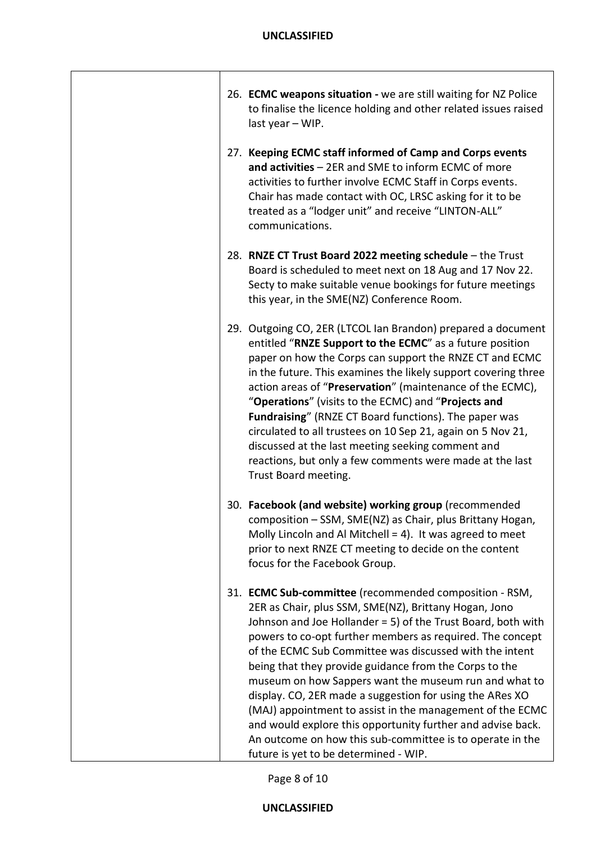| 26. ECMC weapons situation - we are still waiting for NZ Police<br>to finalise the licence holding and other related issues raised<br>last year - WIP.                                                                                                                                                                                                                                                                                                                                                                                                                                                                                                                                                                   |
|--------------------------------------------------------------------------------------------------------------------------------------------------------------------------------------------------------------------------------------------------------------------------------------------------------------------------------------------------------------------------------------------------------------------------------------------------------------------------------------------------------------------------------------------------------------------------------------------------------------------------------------------------------------------------------------------------------------------------|
| 27. Keeping ECMC staff informed of Camp and Corps events<br>and activities - 2ER and SME to inform ECMC of more<br>activities to further involve ECMC Staff in Corps events.<br>Chair has made contact with OC, LRSC asking for it to be<br>treated as a "lodger unit" and receive "LINTON-ALL"<br>communications.                                                                                                                                                                                                                                                                                                                                                                                                       |
| 28. RNZE CT Trust Board 2022 meeting schedule - the Trust<br>Board is scheduled to meet next on 18 Aug and 17 Nov 22.<br>Secty to make suitable venue bookings for future meetings<br>this year, in the SME(NZ) Conference Room.                                                                                                                                                                                                                                                                                                                                                                                                                                                                                         |
| 29. Outgoing CO, 2ER (LTCOL Ian Brandon) prepared a document<br>entitled "RNZE Support to the ECMC" as a future position<br>paper on how the Corps can support the RNZE CT and ECMC<br>in the future. This examines the likely support covering three<br>action areas of "Preservation" (maintenance of the ECMC),<br>"Operations" (visits to the ECMC) and "Projects and<br>Fundraising" (RNZE CT Board functions). The paper was<br>circulated to all trustees on 10 Sep 21, again on 5 Nov 21,<br>discussed at the last meeting seeking comment and<br>reactions, but only a few comments were made at the last<br>Trust Board meeting.                                                                               |
| 30. Facebook (and website) working group (recommended<br>composition - SSM, SME(NZ) as Chair, plus Brittany Hogan,<br>Molly Lincoln and Al Mitchell = 4). It was agreed to meet<br>prior to next RNZE CT meeting to decide on the content<br>focus for the Facebook Group.                                                                                                                                                                                                                                                                                                                                                                                                                                               |
| 31. ECMC Sub-committee (recommended composition - RSM,<br>2ER as Chair, plus SSM, SME(NZ), Brittany Hogan, Jono<br>Johnson and Joe Hollander = 5) of the Trust Board, both with<br>powers to co-opt further members as required. The concept<br>of the ECMC Sub Committee was discussed with the intent<br>being that they provide guidance from the Corps to the<br>museum on how Sappers want the museum run and what to<br>display. CO, 2ER made a suggestion for using the ARes XO<br>(MAJ) appointment to assist in the management of the ECMC<br>and would explore this opportunity further and advise back.<br>An outcome on how this sub-committee is to operate in the<br>future is yet to be determined - WIP. |

Page 8 of 10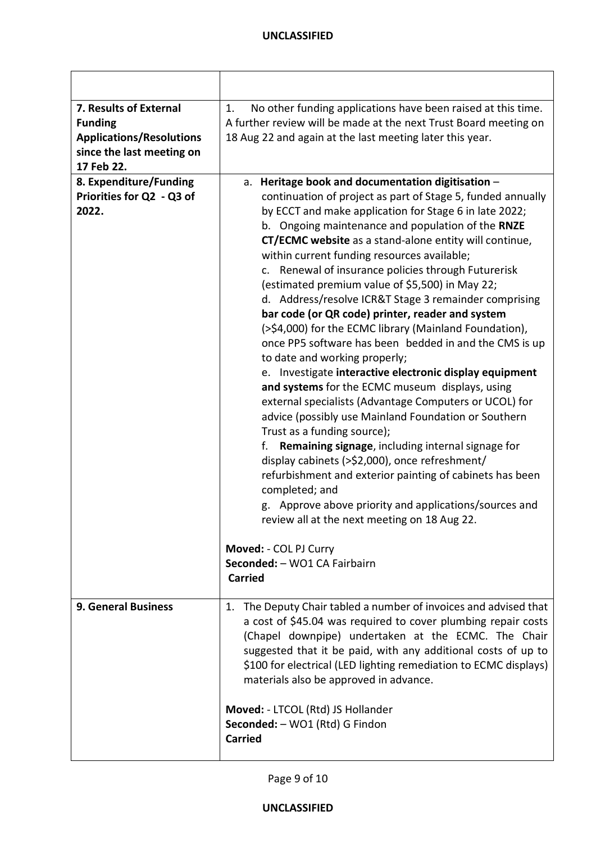| 7. Results of External<br><b>Funding</b><br><b>Applications/Resolutions</b><br>since the last meeting on<br>17 Feb 22. | No other funding applications have been raised at this time.<br>1.<br>A further review will be made at the next Trust Board meeting on<br>18 Aug 22 and again at the last meeting later this year.                                                                                                                                                                                                                                                                                                                                                                                                                                                                                                                                                                                                                                                                                                                                                                                                                                                                                                                                                                                                                                                                                                                |
|------------------------------------------------------------------------------------------------------------------------|-------------------------------------------------------------------------------------------------------------------------------------------------------------------------------------------------------------------------------------------------------------------------------------------------------------------------------------------------------------------------------------------------------------------------------------------------------------------------------------------------------------------------------------------------------------------------------------------------------------------------------------------------------------------------------------------------------------------------------------------------------------------------------------------------------------------------------------------------------------------------------------------------------------------------------------------------------------------------------------------------------------------------------------------------------------------------------------------------------------------------------------------------------------------------------------------------------------------------------------------------------------------------------------------------------------------|
| 8. Expenditure/Funding<br>Priorities for Q2 - Q3 of<br>2022.                                                           | a. Heritage book and documentation digitisation -<br>continuation of project as part of Stage 5, funded annually<br>by ECCT and make application for Stage 6 in late 2022;<br>b. Ongoing maintenance and population of the RNZE<br>CT/ECMC website as a stand-alone entity will continue,<br>within current funding resources available;<br>c. Renewal of insurance policies through Futurerisk<br>(estimated premium value of \$5,500) in May 22;<br>d. Address/resolve ICR&T Stage 3 remainder comprising<br>bar code (or QR code) printer, reader and system<br>(>\$4,000) for the ECMC library (Mainland Foundation),<br>once PP5 software has been bedded in and the CMS is up<br>to date and working properly;<br>e. Investigate interactive electronic display equipment<br>and systems for the ECMC museum displays, using<br>external specialists (Advantage Computers or UCOL) for<br>advice (possibly use Mainland Foundation or Southern<br>Trust as a funding source);<br>Remaining signage, including internal signage for<br>f.<br>display cabinets (>\$2,000), once refreshment/<br>refurbishment and exterior painting of cabinets has been<br>completed; and<br>g. Approve above priority and applications/sources and<br>review all at the next meeting on 18 Aug 22.<br>Moved: - COL PJ Curry |
|                                                                                                                        | Seconded: - WO1 CA Fairbairn<br><b>Carried</b>                                                                                                                                                                                                                                                                                                                                                                                                                                                                                                                                                                                                                                                                                                                                                                                                                                                                                                                                                                                                                                                                                                                                                                                                                                                                    |
| <b>9. General Business</b>                                                                                             | 1. The Deputy Chair tabled a number of invoices and advised that<br>a cost of \$45.04 was required to cover plumbing repair costs<br>(Chapel downpipe) undertaken at the ECMC. The Chair<br>suggested that it be paid, with any additional costs of up to<br>\$100 for electrical (LED lighting remediation to ECMC displays)<br>materials also be approved in advance.<br>Moved: - LTCOL (Rtd) JS Hollander<br>Seconded: - WO1 (Rtd) G Findon<br><b>Carried</b>                                                                                                                                                                                                                                                                                                                                                                                                                                                                                                                                                                                                                                                                                                                                                                                                                                                  |

Page 9 of 10